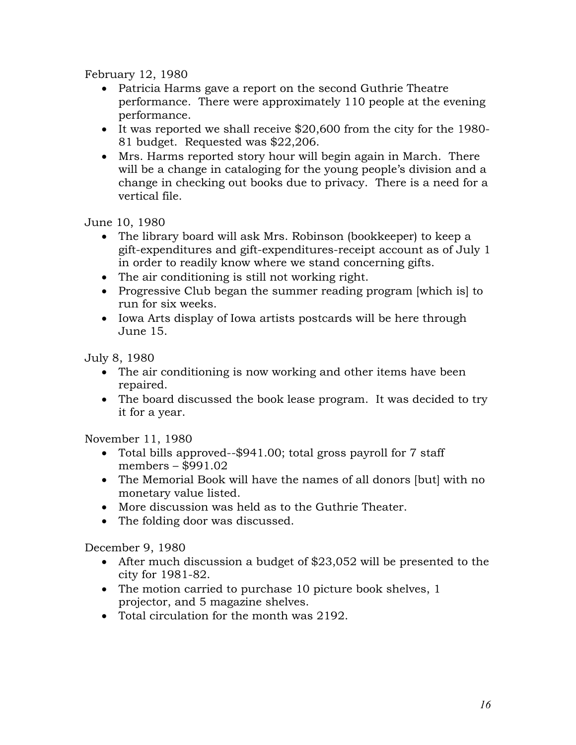February 12, 1980

- Patricia Harms gave a report on the second Guthrie Theatre performance. There were approximately 110 people at the evening performance.
- It was reported we shall receive \$20,600 from the city for the 1980- 81 budget. Requested was \$22,206.
- Mrs. Harms reported story hour will begin again in March. There will be a change in cataloging for the young people's division and a change in checking out books due to privacy. There is a need for a vertical file.

June 10, 1980

- The library board will ask Mrs. Robinson (bookkeeper) to keep a gift-expenditures and gift-expenditures-receipt account as of July 1 in order to readily know where we stand concerning gifts.
- The air conditioning is still not working right.
- Progressive Club began the summer reading program [which is] to run for six weeks.
- Iowa Arts display of Iowa artists postcards will be here through June 15.

July 8, 1980

- The air conditioning is now working and other items have been repaired.
- The board discussed the book lease program. It was decided to try it for a year.

November 11, 1980

- Total bills approved--\$941.00; total gross payroll for 7 staff members – \$991.02
- The Memorial Book will have the names of all donors [but] with no monetary value listed.
- More discussion was held as to the Guthrie Theater.
- The folding door was discussed.

December 9, 1980

- After much discussion a budget of \$23,052 will be presented to the city for 1981-82.
- The motion carried to purchase 10 picture book shelves, 1 projector, and 5 magazine shelves.
- Total circulation for the month was 2192.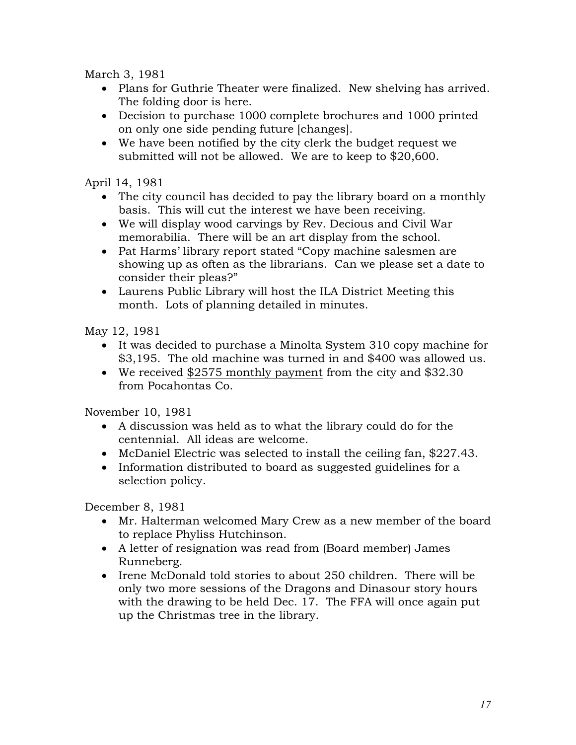March 3, 1981

- Plans for Guthrie Theater were finalized. New shelving has arrived. The folding door is here.
- Decision to purchase 1000 complete brochures and 1000 printed on only one side pending future [changes].
- We have been notified by the city clerk the budget request we submitted will not be allowed. We are to keep to \$20,600.

April 14, 1981

- The city council has decided to pay the library board on a monthly basis. This will cut the interest we have been receiving.
- We will display wood carvings by Rev. Decious and Civil War memorabilia. There will be an art display from the school.
- Pat Harms' library report stated "Copy machine salesmen are showing up as often as the librarians. Can we please set a date to consider their pleas?"
- Laurens Public Library will host the ILA District Meeting this month. Lots of planning detailed in minutes.

May 12, 1981

- It was decided to purchase a Minolta System 310 copy machine for \$3,195. The old machine was turned in and \$400 was allowed us.
- We received \$2575 monthly payment from the city and \$32.30 from Pocahontas Co.

November 10, 1981

- A discussion was held as to what the library could do for the centennial. All ideas are welcome.
- McDaniel Electric was selected to install the ceiling fan, \$227.43.
- Information distributed to board as suggested guidelines for a selection policy.

December 8, 1981

- Mr. Halterman welcomed Mary Crew as a new member of the board to replace Phyliss Hutchinson.
- A letter of resignation was read from (Board member) James Runneberg.
- Irene McDonald told stories to about 250 children. There will be only two more sessions of the Dragons and Dinasour story hours with the drawing to be held Dec. 17. The FFA will once again put up the Christmas tree in the library.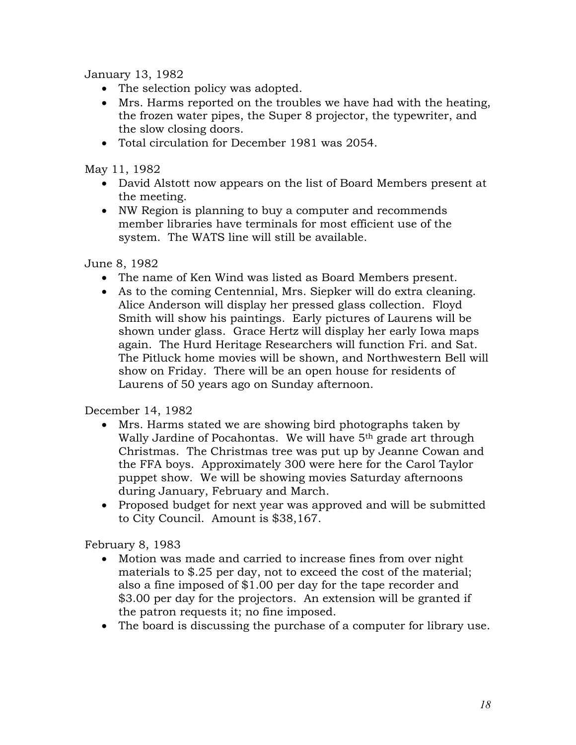January 13, 1982

- The selection policy was adopted.
- Mrs. Harms reported on the troubles we have had with the heating, the frozen water pipes, the Super 8 projector, the typewriter, and the slow closing doors.
- Total circulation for December 1981 was 2054.

May 11, 1982

- David Alstott now appears on the list of Board Members present at the meeting.
- NW Region is planning to buy a computer and recommends member libraries have terminals for most efficient use of the system. The WATS line will still be available.

June 8, 1982

- The name of Ken Wind was listed as Board Members present.
- As to the coming Centennial, Mrs. Siepker will do extra cleaning. Alice Anderson will display her pressed glass collection. Floyd Smith will show his paintings. Early pictures of Laurens will be shown under glass. Grace Hertz will display her early Iowa maps again. The Hurd Heritage Researchers will function Fri. and Sat. The Pitluck home movies will be shown, and Northwestern Bell will show on Friday. There will be an open house for residents of Laurens of 50 years ago on Sunday afternoon.

December 14, 1982

- Mrs. Harms stated we are showing bird photographs taken by Wally Jardine of Pocahontas. We will have 5<sup>th</sup> grade art through Christmas. The Christmas tree was put up by Jeanne Cowan and the FFA boys. Approximately 300 were here for the Carol Taylor puppet show. We will be showing movies Saturday afternoons during January, February and March.
- Proposed budget for next year was approved and will be submitted to City Council. Amount is \$38,167.

February 8, 1983

- Motion was made and carried to increase fines from over night materials to \$.25 per day, not to exceed the cost of the material; also a fine imposed of \$1.00 per day for the tape recorder and \$3.00 per day for the projectors. An extension will be granted if the patron requests it; no fine imposed.
- The board is discussing the purchase of a computer for library use.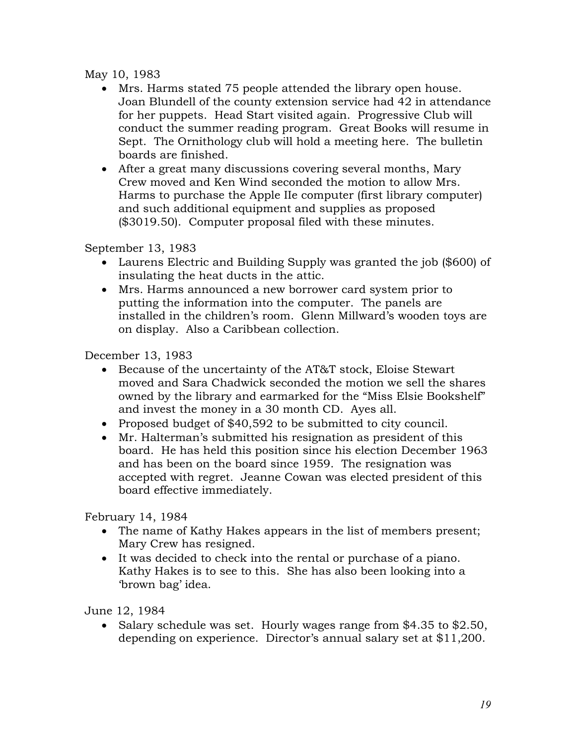## May 10, 1983

- Mrs. Harms stated 75 people attended the library open house. Joan Blundell of the county extension service had 42 in attendance for her puppets. Head Start visited again. Progressive Club will conduct the summer reading program. Great Books will resume in Sept. The Ornithology club will hold a meeting here. The bulletin boards are finished.
- After a great many discussions covering several months, Mary Crew moved and Ken Wind seconded the motion to allow Mrs. Harms to purchase the Apple IIe computer (first library computer) and such additional equipment and supplies as proposed (\$3019.50). Computer proposal filed with these minutes.

September 13, 1983

- Laurens Electric and Building Supply was granted the job (\$600) of insulating the heat ducts in the attic.
- Mrs. Harms announced a new borrower card system prior to putting the information into the computer. The panels are installed in the children's room. Glenn Millward's wooden toys are on display. Also a Caribbean collection.

December 13, 1983

- Because of the uncertainty of the AT&T stock, Eloise Stewart moved and Sara Chadwick seconded the motion we sell the shares owned by the library and earmarked for the "Miss Elsie Bookshelf" and invest the money in a 30 month CD. Ayes all.
- Proposed budget of \$40,592 to be submitted to city council.
- Mr. Halterman's submitted his resignation as president of this board. He has held this position since his election December 1963 and has been on the board since 1959. The resignation was accepted with regret. Jeanne Cowan was elected president of this board effective immediately.

February 14, 1984

- The name of Kathy Hakes appears in the list of members present; Mary Crew has resigned.
- It was decided to check into the rental or purchase of a piano. Kathy Hakes is to see to this. She has also been looking into a 'brown bag' idea.

June 12, 1984

• Salary schedule was set. Hourly wages range from \$4.35 to \$2.50, depending on experience. Director's annual salary set at \$11,200.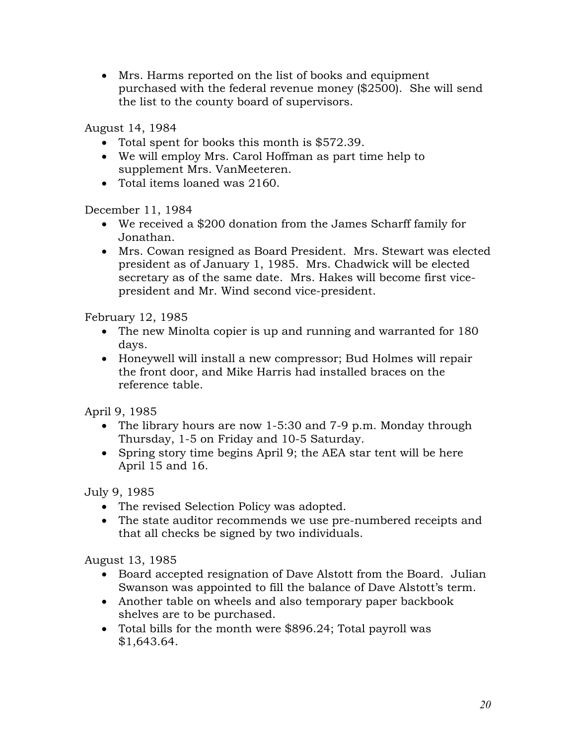Mrs. Harms reported on the list of books and equipment purchased with the federal revenue money (\$2500). She will send the list to the county board of supervisors.

August 14, 1984

- Total spent for books this month is \$572.39.
- We will employ Mrs. Carol Hoffman as part time help to supplement Mrs. VanMeeteren.
- Total items loaned was 2160.

December 11, 1984

- We received a \$200 donation from the James Scharff family for Jonathan.
- Mrs. Cowan resigned as Board President. Mrs. Stewart was elected president as of January 1, 1985. Mrs. Chadwick will be elected secretary as of the same date. Mrs. Hakes will become first vicepresident and Mr. Wind second vice-president.

February 12, 1985

- The new Minolta copier is up and running and warranted for 180 days.
- Honeywell will install a new compressor; Bud Holmes will repair the front door, and Mike Harris had installed braces on the reference table.

April 9, 1985

- The library hours are now 1-5:30 and 7-9 p.m. Monday through Thursday, 1-5 on Friday and 10-5 Saturday.
- Spring story time begins April 9; the AEA star tent will be here April 15 and 16.

July 9, 1985

- The revised Selection Policy was adopted.
- The state auditor recommends we use pre-numbered receipts and that all checks be signed by two individuals.

August 13, 1985

- Board accepted resignation of Dave Alstott from the Board. Julian Swanson was appointed to fill the balance of Dave Alstott's term.
- Another table on wheels and also temporary paper backbook shelves are to be purchased.
- Total bills for the month were \$896.24; Total payroll was \$1,643.64.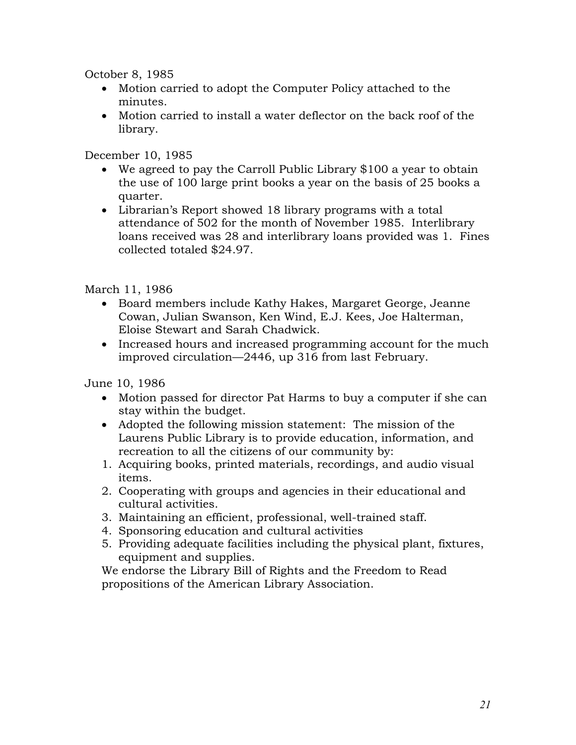October 8, 1985

- Motion carried to adopt the Computer Policy attached to the minutes.
- Motion carried to install a water deflector on the back roof of the library.

December 10, 1985

- We agreed to pay the Carroll Public Library \$100 a year to obtain the use of 100 large print books a year on the basis of 25 books a quarter.
- Librarian's Report showed 18 library programs with a total attendance of 502 for the month of November 1985. Interlibrary loans received was 28 and interlibrary loans provided was 1. Fines collected totaled \$24.97.

March 11, 1986

- Board members include Kathy Hakes, Margaret George, Jeanne Cowan, Julian Swanson, Ken Wind, E.J. Kees, Joe Halterman, Eloise Stewart and Sarah Chadwick.
- Increased hours and increased programming account for the much improved circulation—2446, up 316 from last February.

June 10, 1986

- Motion passed for director Pat Harms to buy a computer if she can stay within the budget.
- Adopted the following mission statement: The mission of the Laurens Public Library is to provide education, information, and recreation to all the citizens of our community by:
- 1. Acquiring books, printed materials, recordings, and audio visual items.
- 2. Cooperating with groups and agencies in their educational and cultural activities.
- 3. Maintaining an efficient, professional, well-trained staff.
- 4. Sponsoring education and cultural activities
- 5. Providing adequate facilities including the physical plant, fixtures, equipment and supplies.

We endorse the Library Bill of Rights and the Freedom to Read propositions of the American Library Association.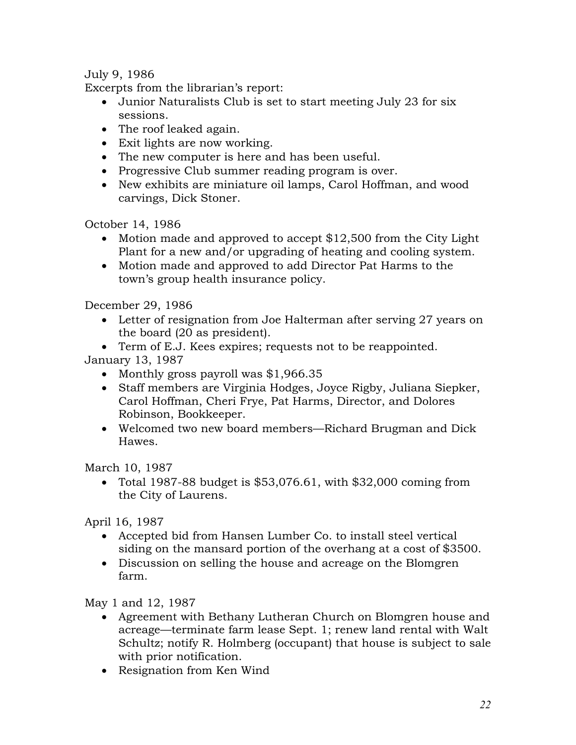July 9, 1986

Excerpts from the librarian's report:

- Junior Naturalists Club is set to start meeting July 23 for six sessions.
- The roof leaked again.
- Exit lights are now working.
- The new computer is here and has been useful.
- Progressive Club summer reading program is over.
- New exhibits are miniature oil lamps, Carol Hoffman, and wood carvings, Dick Stoner.

October 14, 1986

- Motion made and approved to accept \$12,500 from the City Light Plant for a new and/or upgrading of heating and cooling system.
- Motion made and approved to add Director Pat Harms to the town's group health insurance policy.

December 29, 1986

- Letter of resignation from Joe Halterman after serving 27 years on the board (20 as president).
- Term of E.J. Kees expires; requests not to be reappointed.

January 13, 1987

- Monthly gross payroll was \$1,966.35
- Staff members are Virginia Hodges, Joyce Rigby, Juliana Siepker, Carol Hoffman, Cheri Frye, Pat Harms, Director, and Dolores Robinson, Bookkeeper.
- Welcomed two new board members—Richard Brugman and Dick Hawes.

March 10, 1987

• Total 1987-88 budget is  $$53,076.61$ , with  $$32,000$  coming from the City of Laurens.

April 16, 1987

- Accepted bid from Hansen Lumber Co. to install steel vertical siding on the mansard portion of the overhang at a cost of \$3500.
- Discussion on selling the house and acreage on the Blomgren farm.

May 1 and 12, 1987

- Agreement with Bethany Lutheran Church on Blomgren house and acreage—terminate farm lease Sept. 1; renew land rental with Walt Schultz; notify R. Holmberg (occupant) that house is subject to sale with prior notification.
- Resignation from Ken Wind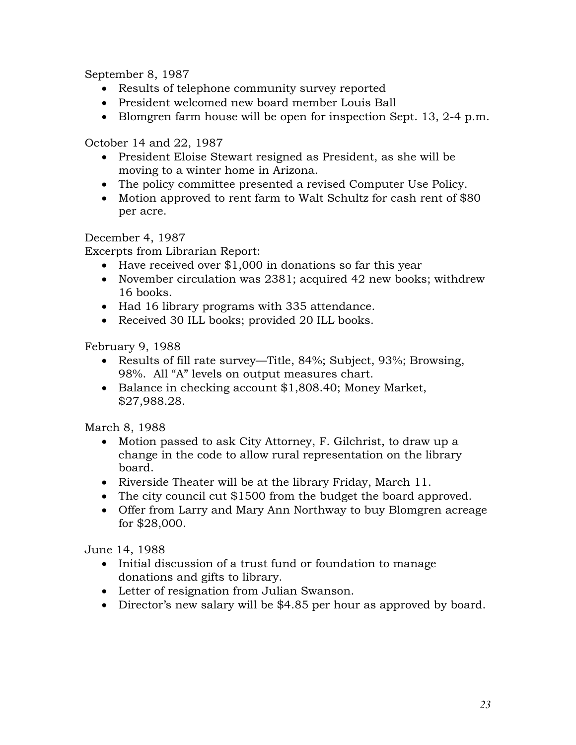September 8, 1987

- Results of telephone community survey reported
- President welcomed new board member Louis Ball
- Blomgren farm house will be open for inspection Sept. 13, 2-4 p.m.

October 14 and 22, 1987

- President Eloise Stewart resigned as President, as she will be moving to a winter home in Arizona.
- The policy committee presented a revised Computer Use Policy.
- Motion approved to rent farm to Walt Schultz for cash rent of \$80 per acre.

December 4, 1987

Excerpts from Librarian Report:

- Have received over \$1,000 in donations so far this year
- November circulation was 2381; acquired 42 new books; withdrew 16 books.
- Had 16 library programs with 335 attendance.
- Received 30 ILL books; provided 20 ILL books.

February 9, 1988

- Results of fill rate survey—Title, 84%; Subject, 93%; Browsing, 98%. All "A" levels on output measures chart.
- Balance in checking account \$1,808.40; Money Market, \$27,988.28.

March 8, 1988

- Motion passed to ask City Attorney, F. Gilchrist, to draw up a change in the code to allow rural representation on the library board.
- Riverside Theater will be at the library Friday, March 11.
- The city council cut \$1500 from the budget the board approved.
- Offer from Larry and Mary Ann Northway to buy Blomgren acreage for \$28,000.

June 14, 1988

- Initial discussion of a trust fund or foundation to manage donations and gifts to library.
- Letter of resignation from Julian Swanson.
- Director's new salary will be \$4.85 per hour as approved by board.